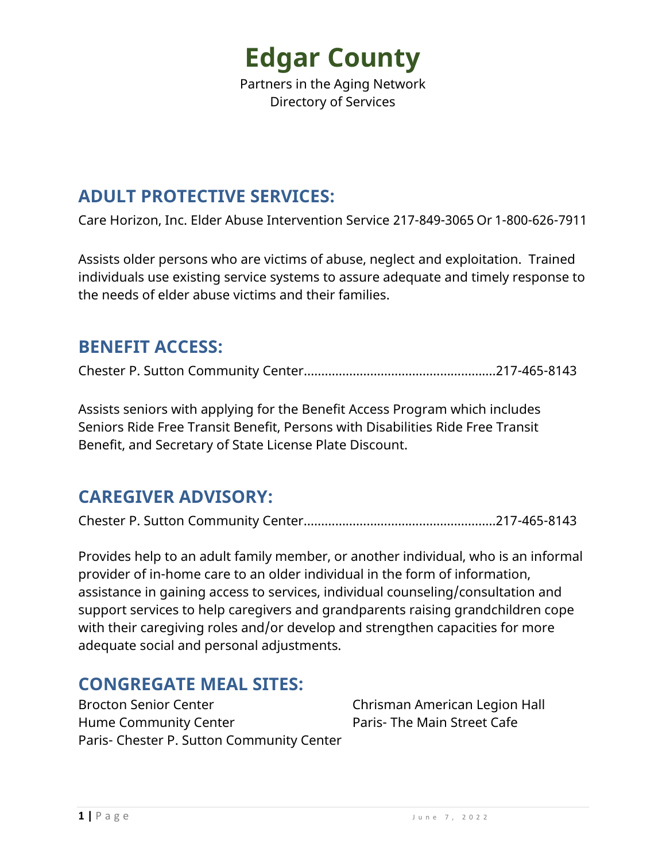Partners in the Aging Network Directory of Services

### **ADULT PROTECTIVE SERVICES:**

Care Horizon, Inc. Elder Abuse Intervention Service 217-849-3065 Or 1-800-626-7911

Assists older persons who are victims of abuse, neglect and exploitation. Trained individuals use existing service systems to assure adequate and timely response to the needs of elder abuse victims and their families.

#### **BENEFIT ACCESS:**

Chester P. Sutton Community Center……………………………………………….217-465-8143

Assists seniors with applying for the Benefit Access Program which includes Seniors Ride Free Transit Benefit, Persons with Disabilities Ride Free Transit Benefit, and Secretary of State License Plate Discount.

### **CAREGIVER ADVISORY:**

Chester P. Sutton Community Center……………………………………………….217-465-8143

Provides help to an adult family member, or another individual, who is an informal provider of in-home care to an older individual in the form of information, assistance in gaining access to services, individual counseling/consultation and support services to help caregivers and grandparents raising grandchildren cope with their caregiving roles and/or develop and strengthen capacities for more adequate social and personal adjustments.

#### **CONGREGATE MEAL SITES:**

Brocton Senior Center **Chrisman American Legion Hall** Hume Community Center **Paris- The Main Street Cafe** Paris- Chester P. Sutton Community Center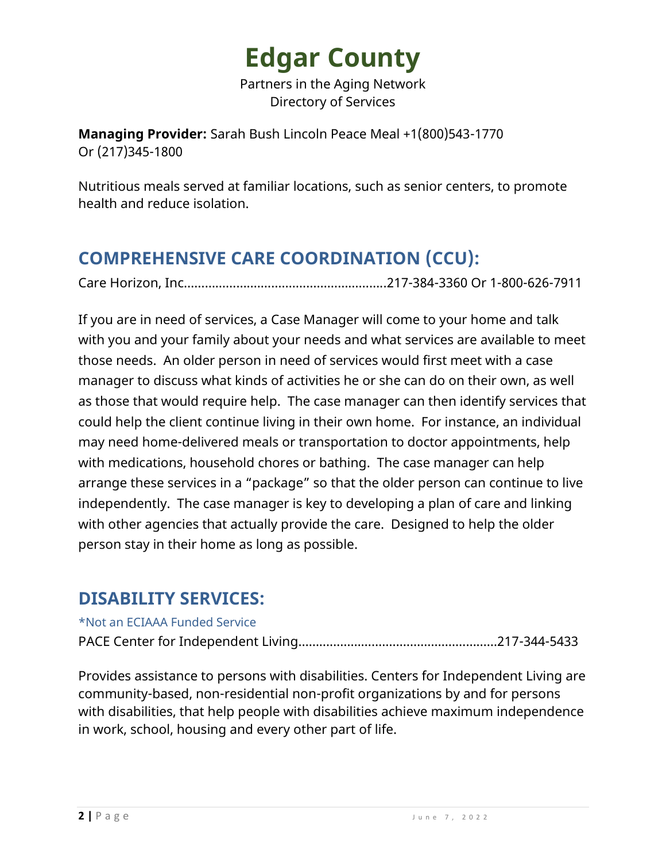Partners in the Aging Network Directory of Services

**Managing Provider:** Sarah Bush Lincoln Peace Meal +1(800)543-1770 Or (217)345-1800

Nutritious meals served at familiar locations, such as senior centers, to promote health and reduce isolation.

# **COMPREHENSIVE CARE COORDINATION (CCU):**

Care Horizon, Inc………………….………….…………………..217-384-3360 Or 1-800-626-7911

If you are in need of services, a Case Manager will come to your home and talk with you and your family about your needs and what services are available to meet those needs. An older person in need of services would first meet with a case manager to discuss what kinds of activities he or she can do on their own, as well as those that would require help. The case manager can then identify services that could help the client continue living in their own home. For instance, an individual may need home-delivered meals or transportation to doctor appointments, help with medications, household chores or bathing. The case manager can help arrange these services in a "package" so that the older person can continue to live independently. The case manager is key to developing a plan of care and linking with other agencies that actually provide the care. Designed to help the older person stay in their home as long as possible.

### **DISABILITY SERVICES:**

#### \*Not an ECIAAA Funded Service

PACE Center for Independent Living…………………………………………………217-344-5433

Provides assistance to persons with disabilities. Centers for Independent Living are community-based, non-residential non-profit organizations by and for persons with disabilities, that help people with disabilities achieve maximum independence in work, school, housing and every other part of life.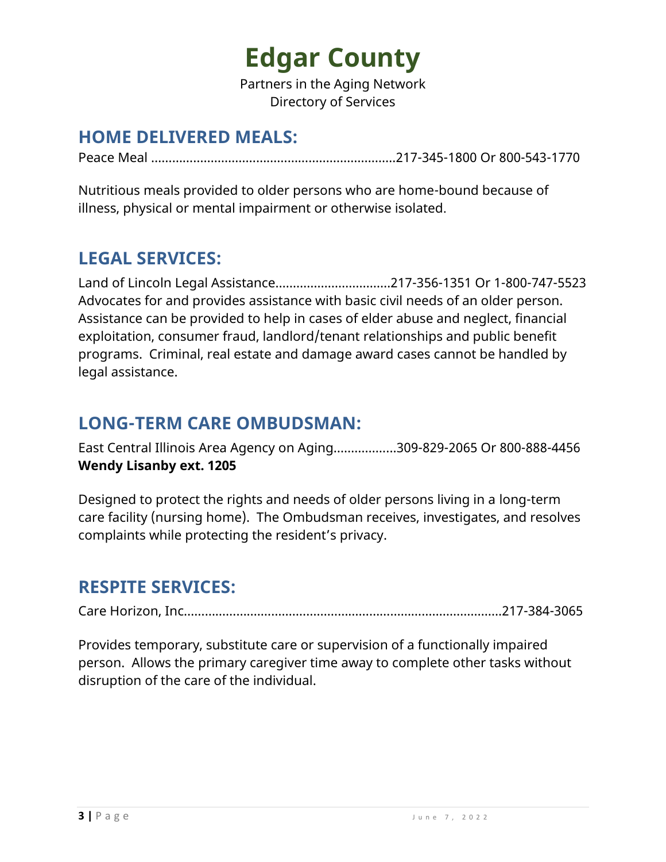Partners in the Aging Network Directory of Services

### **HOME DELIVERED MEALS:**

Peace Meal …………………………………………………………….217-345-1800 Or 800-543-1770

Nutritious meals provided to older persons who are home-bound because of illness, physical or mental impairment or otherwise isolated.

# **LEGAL SERVICES:**

Land of Lincoln Legal Assistance……………………………217-356-1351 Or 1-800-747-5523 Advocates for and provides assistance with basic civil needs of an older person. Assistance can be provided to help in cases of elder abuse and neglect, financial exploitation, consumer fraud, landlord/tenant relationships and public benefit programs. Criminal, real estate and damage award cases cannot be handled by legal assistance.

### **LONG-TERM CARE OMBUDSMAN:**

East Central Illinois Area Agency on Aging……………...309-829-2065 Or 800-888-4456 **Wendy Lisanby ext. 1205**

Designed to protect the rights and needs of older persons living in a long-term care facility (nursing home). The Ombudsman receives, investigates, and resolves complaints while protecting the resident's privacy.

# **RESPITE SERVICES:**

Care Horizon, Inc………………….………….………………………………………………..217-384-3065

Provides temporary, substitute care or supervision of a functionally impaired person. Allows the primary caregiver time away to complete other tasks without disruption of the care of the individual.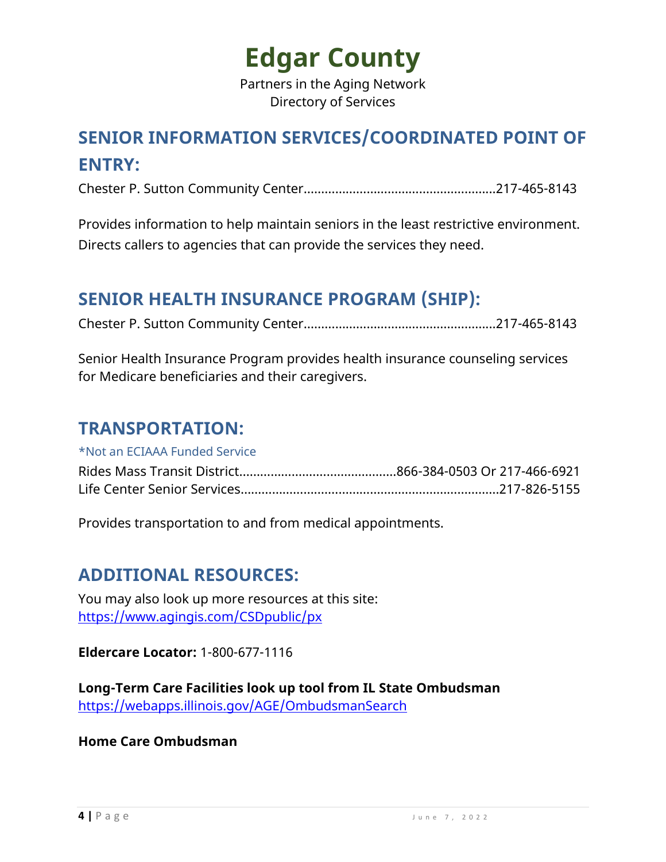Partners in the Aging Network Directory of Services

# **SENIOR INFORMATION SERVICES/COORDINATED POINT OF ENTRY:**

Chester P. Sutton Community Center……………………………………….……...217-465-8143

Provides information to help maintain seniors in the least restrictive environment. Directs callers to agencies that can provide the services they need.

### **SENIOR HEALTH INSURANCE PROGRAM (SHIP):**

Chester P. Sutton Community Center……………………………………….……...217-465-8143

Senior Health Insurance Program provides health insurance counseling services for Medicare beneficiaries and their caregivers.

#### **TRANSPORTATION:**

\*Not an ECIAAA Funded Service

Provides transportation to and from medical appointments.

### **ADDITIONAL RESOURCES:**

You may also look up more resources at this site: [https://www.agingis.com/CSDpublic/px](http://illinoisagingservices.org/Search.aspx)

**Eldercare Locator:** 1-800-677-1116

**Long-Term Care Facilities look up tool from IL State Ombudsman** <https://webapps.illinois.gov/AGE/OmbudsmanSearch>

**Home Care Ombudsman**